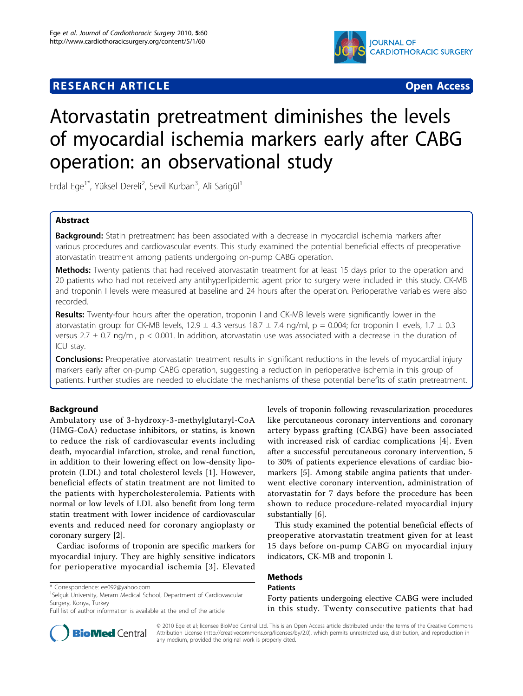# **RESEARCH ARTICLE Example 2018 12:00 Department of the Contract Open Access**



# Atorvastatin pretreatment diminishes the levels of myocardial ischemia markers early after CABG operation: an observational study

Erdal Ege<sup>1\*</sup>, Yüksel Dereli<sup>2</sup>, Sevil Kurban<sup>3</sup>, Ali Sarigül<sup>1</sup>

# Abstract

**Background:** Statin pretreatment has been associated with a decrease in myocardial ischemia markers after various procedures and cardiovascular events. This study examined the potential beneficial effects of preoperative atorvastatin treatment among patients undergoing on-pump CABG operation.

Methods: Twenty patients that had received atorvastatin treatment for at least 15 days prior to the operation and 20 patients who had not received any antihyperlipidemic agent prior to surgery were included in this study. CK-MB and troponin I levels were measured at baseline and 24 hours after the operation. Perioperative variables were also recorded.

Results: Twenty-four hours after the operation, troponin I and CK-MB levels were significantly lower in the atorvastatin group: for CK-MB levels, 12.9  $\pm$  4.3 versus 18.7  $\pm$  7.4 ng/ml, p = 0.004; for troponin I levels, 1.7  $\pm$  0.3 versus 2.7  $\pm$  0.7 ng/ml, p < 0.001. In addition, atorvastatin use was associated with a decrease in the duration of ICU stay.

**Conclusions:** Preoperative atorvastatin treatment results in significant reductions in the levels of myocardial injury markers early after on-pump CABG operation, suggesting a reduction in perioperative ischemia in this group of patients. Further studies are needed to elucidate the mechanisms of these potential benefits of statin pretreatment.

# Background

Ambulatory use of 3-hydroxy-3-methylglutaryl-CoA (HMG-CoA) reductase inhibitors, or statins, is known to reduce the risk of cardiovascular events including death, myocardial infarction, stroke, and renal function, in addition to their lowering effect on low-density lipoprotein (LDL) and total cholesterol levels [\[1](#page-4-0)]. However, beneficial effects of statin treatment are not limited to the patients with hypercholesterolemia. Patients with normal or low levels of LDL also benefit from long term statin treatment with lower incidence of cardiovascular events and reduced need for coronary angioplasty or coronary surgery [\[2](#page-4-0)].

Cardiac isoforms of troponin are specific markers for myocardial injury. They are highly sensitive indicators for perioperative myocardial ischemia [[3](#page-4-0)]. Elevated

<sup>1</sup>Selçuk University, Meram Medical School, Department of Cardiovascular Surgery, Konya, Turkey

levels of troponin following revascularization procedures like percutaneous coronary interventions and coronary artery bypass grafting (CABG) have been associated with increased risk of cardiac complications [[4\]](#page-4-0). Even after a successful percutaneous coronary intervention, 5 to 30% of patients experience elevations of cardiac biomarkers [[5](#page-4-0)]. Among stabile angina patients that underwent elective coronary intervention, administration of atorvastatin for 7 days before the procedure has been shown to reduce procedure-related myocardial injury substantially [[6\]](#page-4-0).

This study examined the potential beneficial effects of preoperative atorvastatin treatment given for at least 15 days before on-pump CABG on myocardial injury indicators, CK-MB and troponin I.

# Methods

# Patients

Forty patients undergoing elective CABG were included in this study. Twenty consecutive patients that had



© 2010 Ege et al; licensee BioMed Central Ltd. This is an Open Access article distributed under the terms of the Creative Commons Attribution License [\(http://creativecommons.org/licenses/by/2.0](http://creativecommons.org/licenses/by/2.0)), which permits unrestricted use, distribution, and reproduction in any medium, provided the original work is properly cited.

<sup>\*</sup> Correspondence: [ee092@yahoo.com](mailto:ee092@yahoo.com)

Full list of author information is available at the end of the article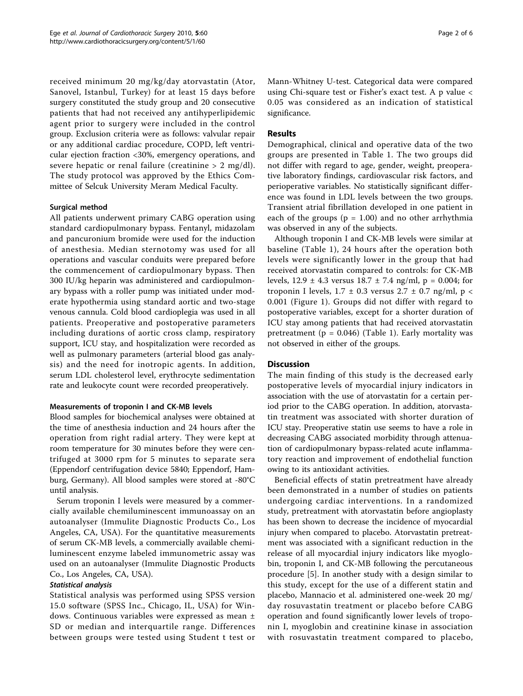received minimum 20 mg/kg/day atorvastatin (Ator, Sanovel, Istanbul, Turkey) for at least 15 days before surgery constituted the study group and 20 consecutive patients that had not received any antihyperlipidemic agent prior to surgery were included in the control group. Exclusion criteria were as follows: valvular repair or any additional cardiac procedure, COPD, left ventricular ejection fraction <30%, emergency operations, and severe hepatic or renal failure (creatinine  $> 2$  mg/dl). The study protocol was approved by the Ethics Committee of Selcuk University Meram Medical Faculty.

#### Surgical method

All patients underwent primary CABG operation using standard cardiopulmonary bypass. Fentanyl, midazolam and pancuronium bromide were used for the induction of anesthesia. Median sternotomy was used for all operations and vascular conduits were prepared before the commencement of cardiopulmonary bypass. Then 300 IU/kg heparin was administered and cardiopulmonary bypass with a roller pump was initiated under moderate hypothermia using standard aortic and two-stage venous cannula. Cold blood cardioplegia was used in all patients. Preoperative and postoperative parameters including durations of aortic cross clamp, respiratory support, ICU stay, and hospitalization were recorded as well as pulmonary parameters (arterial blood gas analysis) and the need for inotropic agents. In addition, serum LDL cholesterol level, erythrocyte sedimentation rate and leukocyte count were recorded preoperatively.

#### Measurements of troponin I and CK-MB levels

Blood samples for biochemical analyses were obtained at the time of anesthesia induction and 24 hours after the operation from right radial artery. They were kept at room temperature for 30 minutes before they were centrifuged at 3000 rpm for 5 minutes to separate sera (Eppendorf centrifugation device 5840; Eppendorf, Hamburg, Germany). All blood samples were stored at -80°C until analysis.

Serum troponin I levels were measured by a commercially available chemiluminescent immunoassay on an autoanalyser (Immulite Diagnostic Products Co., Los Angeles, CA, USA). For the quantitative measurements of serum CK-MB levels, a commercially available chemiluminescent enzyme labeled immunometric assay was used on an autoanalyser (Immulite Diagnostic Products Co., Los Angeles, CA, USA).

#### Statistical analysis

Statistical analysis was performed using SPSS version 15.0 software (SPSS Inc., Chicago, IL, USA) for Windows. Continuous variables were expressed as mean ± SD or median and interquartile range. Differences between groups were tested using Student t test or Mann-Whitney U-test. Categorical data were compared using Chi-square test or Fisher's exact test. A p value < 0.05 was considered as an indication of statistical significance.

#### Results

Demographical, clinical and operative data of the two groups are presented in Table [1.](#page-2-0) The two groups did not differ with regard to age, gender, weight, preoperative laboratory findings, cardiovascular risk factors, and perioperative variables. No statistically significant difference was found in LDL levels between the two groups. Transient atrial fibrillation developed in one patient in each of the groups ( $p = 1.00$ ) and no other arrhythmia was observed in any of the subjects.

Although troponin I and CK-MB levels were similar at baseline (Table [1](#page-2-0)), 24 hours after the operation both levels were significantly lower in the group that had received atorvastatin compared to controls: for CK-MB levels,  $12.9 \pm 4.3$  versus  $18.7 \pm 7.4$  ng/ml,  $p = 0.004$ ; for troponin I levels,  $1.7 \pm 0.3$  versus  $2.7 \pm 0.7$  ng/ml, p < 0.001 (Figure [1](#page-2-0)). Groups did not differ with regard to postoperative variables, except for a shorter duration of ICU stay among patients that had received atorvastatin pretreatment ( $p = 0.046$ ) (Table [1](#page-2-0)). Early mortality was not observed in either of the groups.

# **Discussion**

The main finding of this study is the decreased early postoperative levels of myocardial injury indicators in association with the use of atorvastatin for a certain period prior to the CABG operation. In addition, atorvastatin treatment was associated with shorter duration of ICU stay. Preoperative statin use seems to have a role in decreasing CABG associated morbidity through attenuation of cardiopulmonary bypass-related acute inflammatory reaction and improvement of endothelial function owing to its antioxidant activities.

Beneficial effects of statin pretreatment have already been demonstrated in a number of studies on patients undergoing cardiac interventions. In a randomized study, pretreatment with atorvastatin before angioplasty has been shown to decrease the incidence of myocardial injury when compared to placebo. Atorvastatin pretreatment was associated with a significant reduction in the release of all myocardial injury indicators like myoglobin, troponin I, and CK-MB following the percutaneous procedure [\[5](#page-4-0)]. In another study with a design similar to this study, except for the use of a different statin and placebo, Mannacio et al. administered one-week 20 mg/ day rosuvastatin treatment or placebo before CABG operation and found significantly lower levels of troponin I, myoglobin and creatinine kinase in association with rosuvastatin treatment compared to placebo,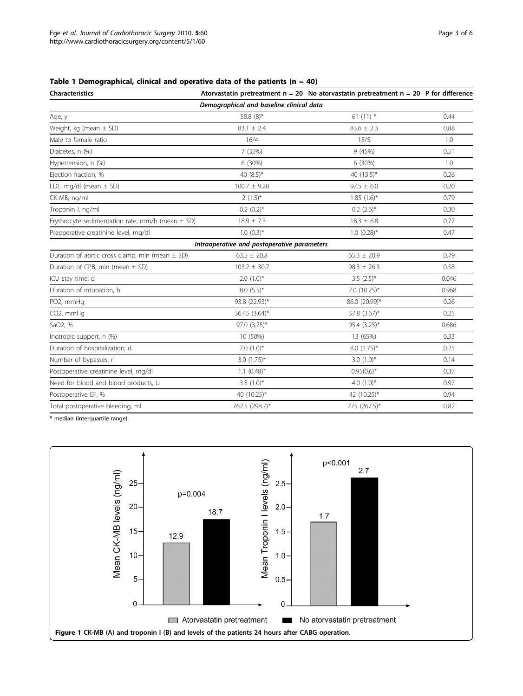#### <span id="page-2-0"></span>Table 1 Demographical, clinical and operative data of the patients  $(n = 40)$

| <b>Characteristics</b>                               |                                             | Atorvastatin pretreatment $n = 20$ No atorvastatin pretreatment $n = 20$ P for difference |       |
|------------------------------------------------------|---------------------------------------------|-------------------------------------------------------------------------------------------|-------|
| Demographical and baseline clinical data             |                                             |                                                                                           |       |
| Age, y                                               | 58.8 (8)*                                   | 61 $(11)$ *                                                                               | 0.44  |
| Weight, kg (mean $\pm$ SD)                           | $83.1 \pm 2.4$                              | $83.6 \pm 2.3$                                                                            | 0.88  |
| Male to female ratio                                 | 16/4                                        | 15/5                                                                                      | 1.0   |
| Diabetes, n (%)                                      | 7 (35%)                                     | 9(45%)                                                                                    | 0.51  |
| Hypertension, n (%)                                  | 6 (30%)                                     | 6 (30%)                                                                                   | 1.0   |
| Ejection fraction, %                                 | 40 $(8.5)^*$                                | 40 $(13.5)^*$                                                                             | 0.26  |
| LDL, mg/dl (mean $\pm$ SD)                           | $100.7 \pm 9.20$                            | $97.5 \pm 6.0$                                                                            | 0.20  |
| CK-MB, ng/ml                                         | $2(1.5)^{*}$                                | $1.85(1.6)^{*}$                                                                           | 0.79  |
| Troponin I, ng/ml                                    | $0.2(0.2)$ *                                | $0.2$ $(2.6)$ <sup>*</sup>                                                                | 0.30  |
| Erythrocyte sedimentation rate, mm/h (mean $\pm$ SD) | $18.9 \pm 7.3$                              | $18.3 \pm 6.8$                                                                            | 0.77  |
| Preoperative creatinine level, mg/dl                 | $1.0(0.3)*$                                 | $1.0 (0.28)$ *                                                                            | 0.47  |
|                                                      | Intraoperative and postoperative parameters |                                                                                           |       |
| Duration of aortic cross clamp, min (mean $\pm$ SD)  | $63.5 \pm 20.8$                             | $65.3 \pm 20.9$                                                                           | 0.79  |
| Duration of CPB, min (mean $\pm$ SD)                 | $103.2 \pm 30.7$                            | $98.3 \pm 26.3$                                                                           | 0.58  |
| ICU stay time, d                                     | $2.0(1.0)*$                                 | $3.5(2.5)$ *                                                                              | 0.046 |
| Duration of intubation, h                            | $8.0(5.5)$ *                                | 7.0 (10.25)*                                                                              | 0.968 |
| PO2, mmHg                                            | 93.8 (22.93)*                               | 86.0 (20.99)*                                                                             | 0.26  |
| CO2, mmHg                                            | 36.45 (3.64)*                               | 37.8 (3.67)*                                                                              | 0.25  |
| SaO2, %                                              | 97.0 (3.75)*                                | 95.4 (3.25)*                                                                              | 0.686 |
| Inotropic support, n (%)                             | 10 (50%)                                    | 13 (65%)                                                                                  | 0.33  |
| Duration of hospitalization, d                       | $7.0(1.0)$ *                                | $8.0(1.75)^*$                                                                             | 0.25  |
| Number of bypasses, n                                | $3.0$ $(1.75)^*$                            | 3.0 $(1.0)^*$                                                                             | 0.14  |
| Postoperative creatinine level, mg/dl                | $1.1 (0.48)^*$                              | $0.95(0.6)^*$                                                                             | 0.37  |
| Need for blood and blood products, U                 | $3.5(1.0)$ *                                | 4.0 $(1.0)^*$                                                                             | 0.97  |
| Postoperative EF, %                                  | 40 (10.25)*                                 | 42 (10.25)*                                                                               | 0.94  |
| Total postoperative bleeding, ml                     | 762.5 (298.7)*                              | 775 (267.5)*                                                                              | 0.82  |

\* median (interquartile range).

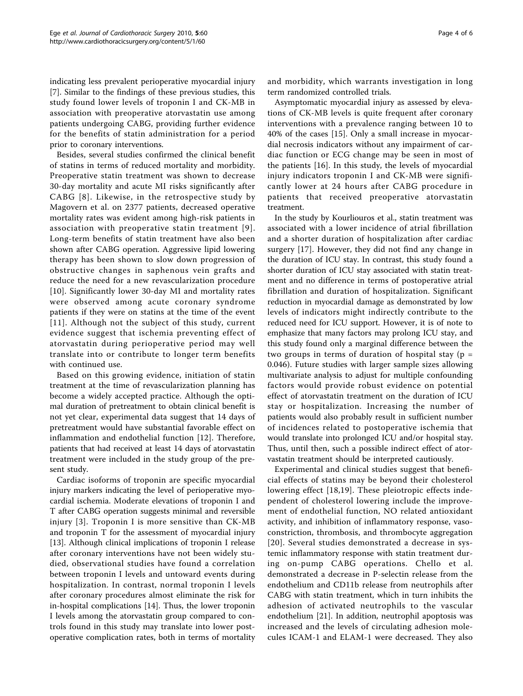indicating less prevalent perioperative myocardial injury [[7\]](#page-4-0). Similar to the findings of these previous studies, this study found lower levels of troponin I and CK-MB in association with preoperative atorvastatin use among patients undergoing CABG, providing further evidence for the benefits of statin administration for a period prior to coronary interventions.

Besides, several studies confirmed the clinical benefit of statins in terms of reduced mortality and morbidity. Preoperative statin treatment was shown to decrease 30-day mortality and acute MI risks significantly after CABG [[8\]](#page-4-0). Likewise, in the retrospective study by Magovern et al. on 2377 patients, decreased operative mortality rates was evident among high-risk patients in association with preoperative statin treatment [[9\]](#page-4-0). Long-term benefits of statin treatment have also been shown after CABG operation. Aggressive lipid lowering therapy has been shown to slow down progression of obstructive changes in saphenous vein grafts and reduce the need for a new revascularization procedure [[10](#page-4-0)]. Significantly lower 30-day MI and mortality rates were observed among acute coronary syndrome patients if they were on statins at the time of the event [[11\]](#page-5-0). Although not the subject of this study, current evidence suggest that ischemia preventing effect of atorvastatin during perioperative period may well translate into or contribute to longer term benefits with continued use.

Based on this growing evidence, initiation of statin treatment at the time of revascularization planning has become a widely accepted practice. Although the optimal duration of pretreatment to obtain clinical benefit is not yet clear, experimental data suggest that 14 days of pretreatment would have substantial favorable effect on inflammation and endothelial function [[12\]](#page-5-0). Therefore, patients that had received at least 14 days of atorvastatin treatment were included in the study group of the present study.

Cardiac isoforms of troponin are specific myocardial injury markers indicating the level of perioperative myocardial ischemia. Moderate elevations of troponin I and T after CABG operation suggests minimal and reversible injury [[3\]](#page-4-0). Troponin I is more sensitive than CK-MB and troponin T for the assessment of myocardial injury [[13\]](#page-5-0). Although clinical implications of troponin I release after coronary interventions have not been widely studied, observational studies have found a correlation between troponin I levels and untoward events during hospitalization. In contrast, normal troponin I levels after coronary procedures almost eliminate the risk for in-hospital complications [\[14](#page-5-0)]. Thus, the lower troponin I levels among the atorvastatin group compared to controls found in this study may translate into lower postoperative complication rates, both in terms of mortality and morbidity, which warrants investigation in long term randomized controlled trials.

Asymptomatic myocardial injury as assessed by elevations of CK-MB levels is quite frequent after coronary interventions with a prevalence ranging between 10 to 40% of the cases [[15\]](#page-5-0). Only a small increase in myocardial necrosis indicators without any impairment of cardiac function or ECG change may be seen in most of the patients [[16\]](#page-5-0). In this study, the levels of myocardial injury indicators troponin I and CK-MB were significantly lower at 24 hours after CABG procedure in patients that received preoperative atorvastatin treatment.

In the study by Kourliouros et al., statin treatment was associated with a lower incidence of atrial fibrillation and a shorter duration of hospitalization after cardiac surgery [\[17](#page-5-0)]. However, they did not find any change in the duration of ICU stay. In contrast, this study found a shorter duration of ICU stay associated with statin treatment and no difference in terms of postoperative atrial fibrillation and duration of hospitalization. Significant reduction in myocardial damage as demonstrated by low levels of indicators might indirectly contribute to the reduced need for ICU support. However, it is of note to emphasize that many factors may prolong ICU stay, and this study found only a marginal difference between the two groups in terms of duration of hospital stay ( $p =$ 0.046). Future studies with larger sample sizes allowing multivariate analysis to adjust for multiple confounding factors would provide robust evidence on potential effect of atorvastatin treatment on the duration of ICU stay or hospitalization. Increasing the number of patients would also probably result in sufficient number of incidences related to postoperative ischemia that would translate into prolonged ICU and/or hospital stay. Thus, until then, such a possible indirect effect of atorvastatin treatment should be interpreted cautiously.

Experimental and clinical studies suggest that beneficial effects of statins may be beyond their cholesterol lowering effect [\[18](#page-5-0),[19](#page-5-0)]. These pleiotropic effects independent of cholesterol lowering include the improvement of endothelial function, NO related antioxidant activity, and inhibition of inflammatory response, vasoconstriction, thrombosis, and thrombocyte aggregation [[20\]](#page-5-0). Several studies demonstrated a decrease in systemic inflammatory response with statin treatment during on-pump CABG operations. Chello et al. demonstrated a decrease in P-selectin release from the endothelium and CD11b release from neutrophils after CABG with statin treatment, which in turn inhibits the adhesion of activated neutrophils to the vascular endothelium [[21\]](#page-5-0). In addition, neutrophil apoptosis was increased and the levels of circulating adhesion molecules ICAM-1 and ELAM-1 were decreased. They also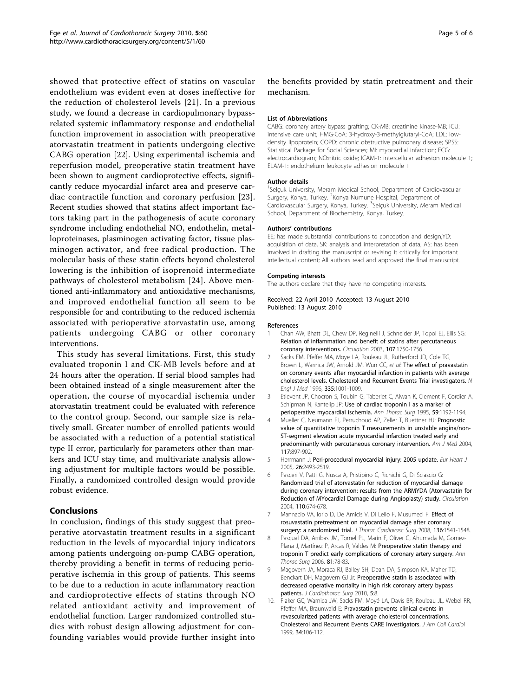<span id="page-4-0"></span>showed that protective effect of statins on vascular endothelium was evident even at doses ineffective for the reduction of cholesterol levels [[21\]](#page-5-0). In a previous study, we found a decrease in cardiopulmonary bypassrelated systemic inflammatory response and endothelial function improvement in association with preoperative atorvastatin treatment in patients undergoing elective CABG operation [[22\]](#page-5-0). Using experimental ischemia and reperfusion model, preoperative statin treatment have been shown to augment cardioprotective effects, significantly reduce myocardial infarct area and preserve cardiac contractile function and coronary perfusion [[23](#page-5-0)]. Recent studies showed that statins affect important factors taking part in the pathogenesis of acute coronary syndrome including endothelial NO, endothelin, metalloproteinases, plasminogen activating factor, tissue plasminogen activator, and free radical production. The molecular basis of these statin effects beyond cholesterol lowering is the inhibition of isoprenoid intermediate pathways of cholesterol metabolism [[24](#page-5-0)]. Above mentioned anti-inflammatory and antioxidative mechanisms, and improved endothelial function all seem to be responsible for and contributing to the reduced ischemia associated with perioperative atorvastatin use, among patients undergoing CABG or other coronary interventions.

This study has several limitations. First, this study evaluated troponin I and CK-MB levels before and at 24 hours after the operation. If serial blood samples had been obtained instead of a single measurement after the operation, the course of myocardial ischemia under atorvastatin treatment could be evaluated with reference to the control group. Second, our sample size is relatively small. Greater number of enrolled patients would be associated with a reduction of a potential statistical type II error, particularly for parameters other than markers and ICU stay time, and multivariate analysis allowing adjustment for multiple factors would be possible. Finally, a randomized controlled design would provide robust evidence.

# Conclusions

In conclusion, findings of this study suggest that preoperative atorvastatin treatment results in a significant reduction in the levels of myocardial injury indicators among patients undergoing on-pump CABG operation, thereby providing a benefit in terms of reducing perioperative ischemia in this group of patients. This seems to be due to a reduction in acute inflammatory reaction and cardioprotective effects of statins through NO related antioxidant activity and improvement of endothelial function. Larger randomized controlled studies with robust design allowing adjustment for confounding variables would provide further insight into

Page 5 of 6

the benefits provided by statin pretreatment and their mechanism.

#### List of Abbreviations

CABG: coronary artery bypass grafting; CK-MB: creatinine kinase-MB; ICU: intensive care unit; HMG-CoA: 3-hydroxy-3-methylglutaryl-CoA; LDL: lowdensity lipoprotein; COPD: chronic obstructive pulmonary disease; SPSS: Statistical Package for Social Sciences; MI: myocardial infarction; ECG: electrocardiogram; NO:nitric oxide; ICAM-1: intercellular adhesion molecule 1; ELAM-1: endothelium leukocyte adhesion molecule 1

#### Author details

<sup>1</sup>Selçuk University, Meram Medical School, Department of Cardiovascular Surgery, Konya, Turkey. <sup>2</sup>Konya Numune Hospital, Department of Cardiovascular Surgery, Konya, Turkey. <sup>3</sup>Selçuk University, Meram Medical School, Department of Biochemistry, Konya, Turkey.

#### Authors' contributions

EE; has made substantial contributions to conception and design,YD: acquisition of data, SK: analysis and interpretation of data, AS: has been involved in drafting the manuscript or revising it critically for important intellectual content; All authors read and approved the final manuscript.

#### Competing interests

The authors declare that they have no competing interests.

Received: 22 April 2010 Accepted: 13 August 2010 Published: 13 August 2010

#### References

- 1. Chan AW, Bhatt DL, Chew DP, Reginelli J, Schneider JP, Topol EJ, Ellis SG: [Relation of inflammation and benefit of statins after percutaneous](http://www.ncbi.nlm.nih.gov/pubmed/12665489?dopt=Abstract) [coronary interventions.](http://www.ncbi.nlm.nih.gov/pubmed/12665489?dopt=Abstract) Circulation 2003, 107:1750-1756.
- 2. Sacks FM, Pfeffer MA, Moye LA, Rouleau JL, Rutherford JD, Cole TG, Brown L, Warnica JW, Arnold JM, Wun CC, et al: [The effect of pravastatin](http://www.ncbi.nlm.nih.gov/pubmed/8801446?dopt=Abstract) [on coronary events after myocardial infarction in patients with average](http://www.ncbi.nlm.nih.gov/pubmed/8801446?dopt=Abstract) [cholesterol levels. Cholesterol and Recurrent Events Trial investigators.](http://www.ncbi.nlm.nih.gov/pubmed/8801446?dopt=Abstract) N Engl J Med 1996, 335:1001-1009.
- 3. Etievent JP, Chocron S, Toubin G, Taberlet C, Alwan K, Clement F, Cordier A, Schipman N, Kantelip JP: [Use of cardiac troponin I as a marker of](http://www.ncbi.nlm.nih.gov/pubmed/7733719?dopt=Abstract) [perioperative myocardial ischemia.](http://www.ncbi.nlm.nih.gov/pubmed/7733719?dopt=Abstract) Ann Thorac Surg 1995, 59:1192-1194.
- Mueller C, Neumann FJ, Perruchoud AP, Zeller T, Buettner HJ: [Prognostic](http://www.ncbi.nlm.nih.gov/pubmed/15629727?dopt=Abstract) [value of quantitative troponin T measurements in unstable angina/non-](http://www.ncbi.nlm.nih.gov/pubmed/15629727?dopt=Abstract)[ST-segment elevation acute myocardial infarction treated early and](http://www.ncbi.nlm.nih.gov/pubmed/15629727?dopt=Abstract) [predominantly with percutaneous coronary intervention.](http://www.ncbi.nlm.nih.gov/pubmed/15629727?dopt=Abstract) Am J Med 2004, 117:897-902.
- 5. Herrmann J: [Peri-procedural myocardial injury: 2005 update.](http://www.ncbi.nlm.nih.gov/pubmed/16176941?dopt=Abstract) Eur Heart J 2005, 26:2493-2519.
- 6. Pasceri V, Patti G, Nusca A, Pristipino C, Richichi G, Di Sciascio G: [Randomized trial of atorvastatin for reduction of myocardial damage](http://www.ncbi.nlm.nih.gov/pubmed/15277322?dopt=Abstract) [during coronary intervention: results from the ARMYDA \(Atorvastatin for](http://www.ncbi.nlm.nih.gov/pubmed/15277322?dopt=Abstract) [Reduction of MYocardial Damage during Angioplasty\) study.](http://www.ncbi.nlm.nih.gov/pubmed/15277322?dopt=Abstract) Circulation 2004, 110:674-678.
- 7. Mannacio VA, Iorio D, De Amicis V, Di Lello F, Musumeci F: [Effect of](http://www.ncbi.nlm.nih.gov/pubmed/19114204?dopt=Abstract) [rosuvastatin pretreatment on myocardial damage after coronary](http://www.ncbi.nlm.nih.gov/pubmed/19114204?dopt=Abstract) [surgery: a randomized trial.](http://www.ncbi.nlm.nih.gov/pubmed/19114204?dopt=Abstract) J Thorac Cardiovasc Surg 2008, 136:1541-1548.
- 8. Pascual DA, Arribas JM, Tornel PL, Marín F, Oliver C, Ahumada M, Gomez-Plana J, Martínez P, Arcas R, Valdes M: [Preoperative statin therapy and](http://www.ncbi.nlm.nih.gov/pubmed/16368340?dopt=Abstract) [troponin T predict early complications of coronary artery surgery.](http://www.ncbi.nlm.nih.gov/pubmed/16368340?dopt=Abstract) Ann Thorac Surg 2006, 81:78-83.
- 9. Magovern JA, Moraca RJ, Bailey SH, Dean DA, Simpson KA, Maher TD, Benckart DH, Magovern GJ Jr: [Preoperative statin is associated with](http://www.ncbi.nlm.nih.gov/pubmed/20181268?dopt=Abstract) [decreased operative mortality in high risk coronary artery bypass](http://www.ncbi.nlm.nih.gov/pubmed/20181268?dopt=Abstract) [patients.](http://www.ncbi.nlm.nih.gov/pubmed/20181268?dopt=Abstract) J Cardiothorac Surg 2010, 5:8.
- 10. Flaker GC, Warnica JW, Sacks FM, Moyé LA, Davis BR, Rouleau JL, Webel RR, Pfeffer MA, Braunwald E: [Pravastatin prevents clinical events in](http://www.ncbi.nlm.nih.gov/pubmed/10399998?dopt=Abstract) [revascularized patients with average cholesterol concentrations.](http://www.ncbi.nlm.nih.gov/pubmed/10399998?dopt=Abstract) [Cholesterol and Recurrent Events CARE Investigators.](http://www.ncbi.nlm.nih.gov/pubmed/10399998?dopt=Abstract) J Am Coll Cardiol 1999, 34:106-112.